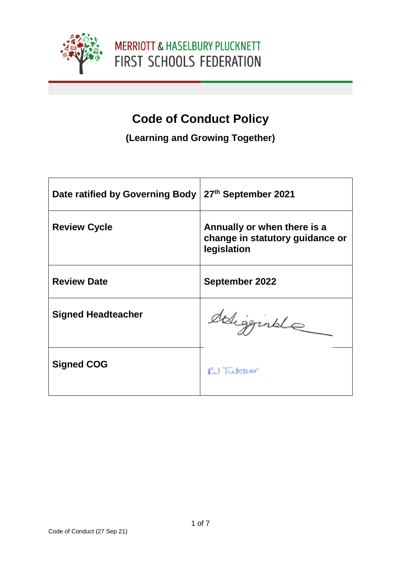

# **Code of Conduct Policy**

**(Learning and Growing Together)**

| Date ratified by Governing Body | 27th September 2021                                                           |
|---------------------------------|-------------------------------------------------------------------------------|
| <b>Review Cycle</b>             | Annually or when there is a<br>change in statutory guidance or<br>legislation |
| <b>Review Date</b>              | September 2022                                                                |
| <b>Signed Headteacher</b>       | deligginale                                                                   |
| <b>Signed COG</b>               | RU Tutcher                                                                    |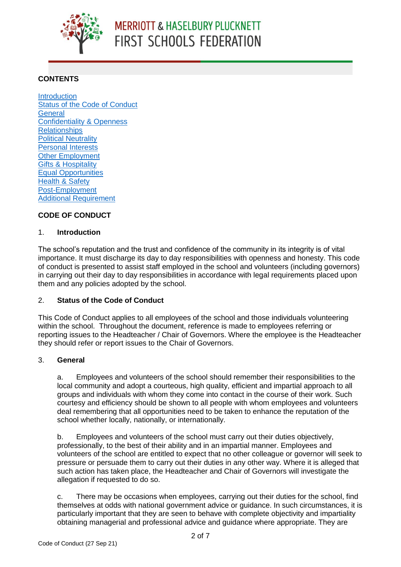

# **CONTENTS**

**[Introduction](#page-1-0)** [Status of the Code of Conduct](#page-1-1) **[General](#page-1-2)** [Confidentiality & Openness](#page-2-0) **[Relationships](#page-2-1)** [Political Neutrality](#page-3-0) [Personal Interests](#page-3-1) [Other Employment](#page-3-2) [Gifts & Hospitality](#page-4-0) [Equal Opportunities](#page-4-1) [Health & Safety](#page-5-0) [Post-Employment](#page-5-1) [Additional Requirement](#page-5-2)

# **CODE OF CONDUCT**

# <span id="page-1-0"></span>1. **Introduction**

The school's reputation and the trust and confidence of the community in its integrity is of vital importance. It must discharge its day to day responsibilities with openness and honesty. This code of conduct is presented to assist staff employed in the school and volunteers (including governors) in carrying out their day to day responsibilities in accordance with legal requirements placed upon them and any policies adopted by the school.

# <span id="page-1-1"></span>2. **Status of the Code of Conduct**

This Code of Conduct applies to all employees of the school and those individuals volunteering within the school. Throughout the document, reference is made to employees referring or reporting issues to the Headteacher / Chair of Governors. Where the employee is the Headteacher they should refer or report issues to the Chair of Governors.

# <span id="page-1-2"></span>3. **General**

a. Employees and volunteers of the school should remember their responsibilities to the local community and adopt a courteous, high quality, efficient and impartial approach to all groups and individuals with whom they come into contact in the course of their work. Such courtesy and efficiency should be shown to all people with whom employees and volunteers deal remembering that all opportunities need to be taken to enhance the reputation of the school whether locally, nationally, or internationally.

b. Employees and volunteers of the school must carry out their duties objectively, professionally, to the best of their ability and in an impartial manner. Employees and volunteers of the school are entitled to expect that no other colleague or governor will seek to pressure or persuade them to carry out their duties in any other way. Where it is alleged that such action has taken place, the Headteacher and Chair of Governors will investigate the allegation if requested to do so.

c. There may be occasions when employees, carrying out their duties for the school, find themselves at odds with national government advice or guidance. In such circumstances, it is particularly important that they are seen to behave with complete objectivity and impartiality obtaining managerial and professional advice and guidance where appropriate. They are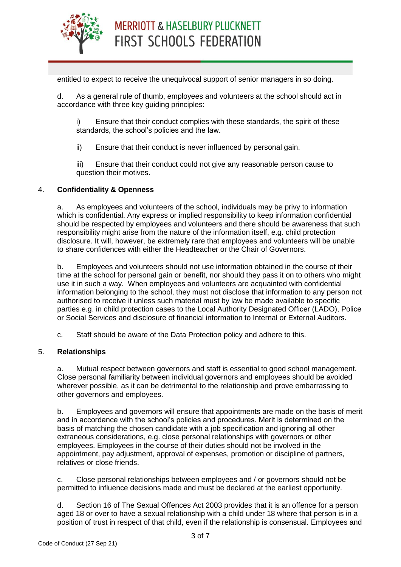

entitled to expect to receive the unequivocal support of senior managers in so doing.

d. As a general rule of thumb, employees and volunteers at the school should act in accordance with three key guiding principles:

i) Ensure that their conduct complies with these standards, the spirit of these standards, the school's policies and the law.

ii) Ensure that their conduct is never influenced by personal gain.

iii) Ensure that their conduct could not give any reasonable person cause to question their motives.

# <span id="page-2-0"></span>4. **Confidentiality & Openness**

a. As employees and volunteers of the school, individuals may be privy to information which is confidential. Any express or implied responsibility to keep information confidential should be respected by employees and volunteers and there should be awareness that such responsibility might arise from the nature of the information itself, e.g. child protection disclosure. It will, however, be extremely rare that employees and volunteers will be unable to share confidences with either the Headteacher or the Chair of Governors.

b. Employees and volunteers should not use information obtained in the course of their time at the school for personal gain or benefit, nor should they pass it on to others who might use it in such a way. When employees and volunteers are acquainted with confidential information belonging to the school, they must not disclose that information to any person not authorised to receive it unless such material must by law be made available to specific parties e.g. in child protection cases to the Local Authority Designated Officer (LADO), Police or Social Services and disclosure of financial information to Internal or External Auditors.

c. Staff should be aware of the Data Protection policy and adhere to this.

# <span id="page-2-1"></span>5. **Relationships**

a. Mutual respect between governors and staff is essential to good school management. Close personal familiarity between individual governors and employees should be avoided wherever possible, as it can be detrimental to the relationship and prove embarrassing to other governors and employees.

b. Employees and governors will ensure that appointments are made on the basis of merit and in accordance with the school's policies and procedures. Merit is determined on the basis of matching the chosen candidate with a job specification and ignoring all other extraneous considerations, e.g. close personal relationships with governors or other employees. Employees in the course of their duties should not be involved in the appointment, pay adjustment, approval of expenses, promotion or discipline of partners, relatives or close friends.

c. Close personal relationships between employees and / or governors should not be permitted to influence decisions made and must be declared at the earliest opportunity.

d. Section 16 of The Sexual Offences Act 2003 provides that it is an offence for a person aged 18 or over to have a sexual relationship with a child under 18 where that person is in a position of trust in respect of that child, even if the relationship is consensual. Employees and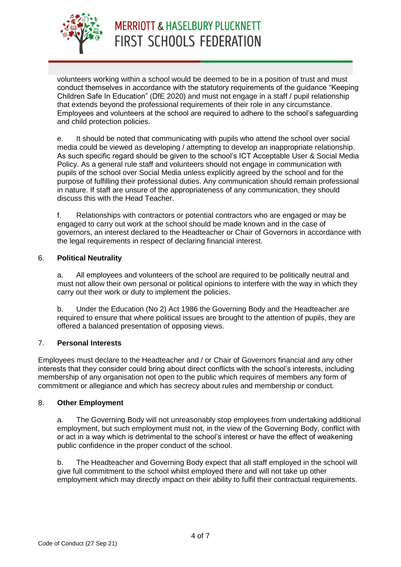

volunteers working within a school would be deemed to be in a position of trust and must conduct themselves in accordance with the statutory requirements of the guidance "Keeping Children Safe In Education" (DfE 2020) and must not engage in a staff / pupil relationship that extends beyond the professional requirements of their role in any circumstance. Employees and volunteers at the school are required to adhere to the school's safeguarding and child protection policies.

e. It should be noted that communicating with pupils who attend the school over social media could be viewed as developing / attempting to develop an inappropriate relationship. As such specific regard should be given to the school's ICT Acceptable User & Social Media Policy. As a general rule staff and volunteers should not engage in communication with pupils of the school over Social Media unless explicitly agreed by the school and for the purpose of fulfilling their professional duties. Any communication should remain professional in nature. If staff are unsure of the appropriateness of any communication, they should discuss this with the Head Teacher.

f. Relationships with contractors or potential contractors who are engaged or may be engaged to carry out work at the school should be made known and in the case of governors, an interest declared to the Headteacher or Chair of Governors in accordance with the legal requirements in respect of declaring financial interest.

# <span id="page-3-0"></span>6. **Political Neutrality**

a. All employees and volunteers of the school are required to be politically neutral and must not allow their own personal or political opinions to interfere with the way in which they carry out their work or duty to implement the policies.

b. Under the Education (No 2) Act 1986 the Governing Body and the Headteacher are required to ensure that where political issues are brought to the attention of pupils, they are offered a balanced presentation of opposing views.

# <span id="page-3-1"></span>7. **Personal Interests**

Employees must declare to the Headteacher and / or Chair of Governors financial and any other interests that they consider could bring about direct conflicts with the school's interests, including membership of any organisation not open to the public which requires of members any form of commitment or allegiance and which has secrecy about rules and membership or conduct.

# <span id="page-3-2"></span>8. **Other Employment**

a. The Governing Body will not unreasonably stop employees from undertaking additional employment, but such employment must not, in the view of the Governing Body, conflict with or act in a way which is detrimental to the school's interest or have the effect of weakening public confidence in the proper conduct of the school.

b. The Headteacher and Governing Body expect that all staff employed in the school will give full commitment to the school whilst employed there and will not take up other employment which may directly impact on their ability to fulfil their contractual requirements.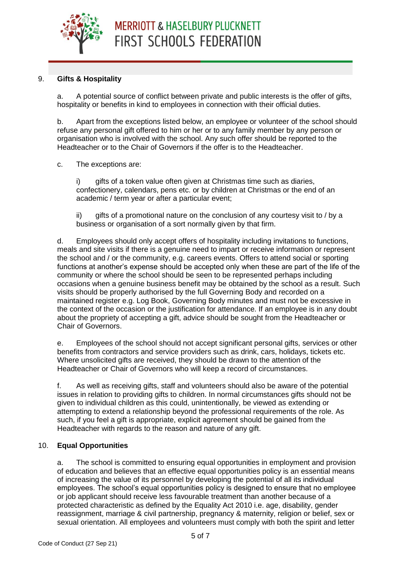

# <span id="page-4-0"></span>9. **Gifts & Hospitality**

a. A potential source of conflict between private and public interests is the offer of gifts, hospitality or benefits in kind to employees in connection with their official duties.

b. Apart from the exceptions listed below, an employee or volunteer of the school should refuse any personal gift offered to him or her or to any family member by any person or organisation who is involved with the school. Any such offer should be reported to the Headteacher or to the Chair of Governors if the offer is to the Headteacher.

# c. The exceptions are:

i) gifts of a token value often given at Christmas time such as diaries, confectionery, calendars, pens etc. or by children at Christmas or the end of an academic / term year or after a particular event;

ii) gifts of a promotional nature on the conclusion of any courtesy visit to / by a business or organisation of a sort normally given by that firm.

d. Employees should only accept offers of hospitality including invitations to functions, meals and site visits if there is a genuine need to impart or receive information or represent the school and / or the community, e.g. careers events. Offers to attend social or sporting functions at another's expense should be accepted only when these are part of the life of the community or where the school should be seen to be represented perhaps including occasions when a genuine business benefit may be obtained by the school as a result. Such visits should be properly authorised by the full Governing Body and recorded on a maintained register e.g. Log Book, Governing Body minutes and must not be excessive in the context of the occasion or the justification for attendance. If an employee is in any doubt about the propriety of accepting a gift, advice should be sought from the Headteacher or Chair of Governors.

e. Employees of the school should not accept significant personal gifts, services or other benefits from contractors and service providers such as drink, cars, holidays, tickets etc. Where unsolicited gifts are received, they should be drawn to the attention of the Headteacher or Chair of Governors who will keep a record of circumstances.

f. As well as receiving gifts, staff and volunteers should also be aware of the potential issues in relation to providing gifts to children. In normal circumstances gifts should not be given to individual children as this could, unintentionally, be viewed as extending or attempting to extend a relationship beyond the professional requirements of the role. As such, if you feel a gift is appropriate, explicit agreement should be gained from the Headteacher with regards to the reason and nature of any gift.

# <span id="page-4-1"></span>10. **Equal Opportunities**

a. The school is committed to ensuring equal opportunities in employment and provision of education and believes that an effective equal opportunities policy is an essential means of increasing the value of its personnel by developing the potential of all its individual employees. The school's equal opportunities policy is designed to ensure that no employee or job applicant should receive less favourable treatment than another because of a protected characteristic as defined by the Equality Act 2010 i.e. age, disability, gender reassignment, marriage & civil partnership, pregnancy & maternity, religion or belief, sex or sexual orientation. All employees and volunteers must comply with both the spirit and letter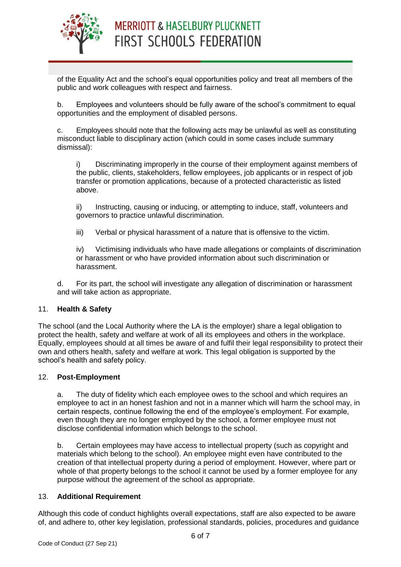

of the Equality Act and the school's equal opportunities policy and treat all members of the public and work colleagues with respect and fairness.

b. Employees and volunteers should be fully aware of the school's commitment to equal opportunities and the employment of disabled persons.

c. Employees should note that the following acts may be unlawful as well as constituting misconduct liable to disciplinary action (which could in some cases include summary dismissal):

i) Discriminating improperly in the course of their employment against members of the public, clients, stakeholders, fellow employees, job applicants or in respect of job transfer or promotion applications, because of a protected characteristic as listed above.

ii) Instructing, causing or inducing, or attempting to induce, staff, volunteers and governors to practice unlawful discrimination.

iii) Verbal or physical harassment of a nature that is offensive to the victim.

iv) Victimising individuals who have made allegations or complaints of discrimination or harassment or who have provided information about such discrimination or harassment.

d. For its part, the school will investigate any allegation of discrimination or harassment and will take action as appropriate.

# <span id="page-5-0"></span>11. **Health & Safety**

The school (and the Local Authority where the LA is the employer) share a legal obligation to protect the health, safety and welfare at work of all its employees and others in the workplace. Equally, employees should at all times be aware of and fulfil their legal responsibility to protect their own and others health, safety and welfare at work. This legal obligation is supported by the school's health and safety policy.

# <span id="page-5-1"></span>12. **Post-Employment**

a. The duty of fidelity which each employee owes to the school and which requires an employee to act in an honest fashion and not in a manner which will harm the school may, in certain respects, continue following the end of the employee's employment. For example, even though they are no longer employed by the school, a former employee must not disclose confidential information which belongs to the school.

b. Certain employees may have access to intellectual property (such as copyright and materials which belong to the school). An employee might even have contributed to the creation of that intellectual property during a period of employment. However, where part or whole of that property belongs to the school it cannot be used by a former employee for any purpose without the agreement of the school as appropriate.

# <span id="page-5-2"></span>13. **Additional Requirement**

Although this code of conduct highlights overall expectations, staff are also expected to be aware of, and adhere to, other key legislation, professional standards, policies, procedures and guidance